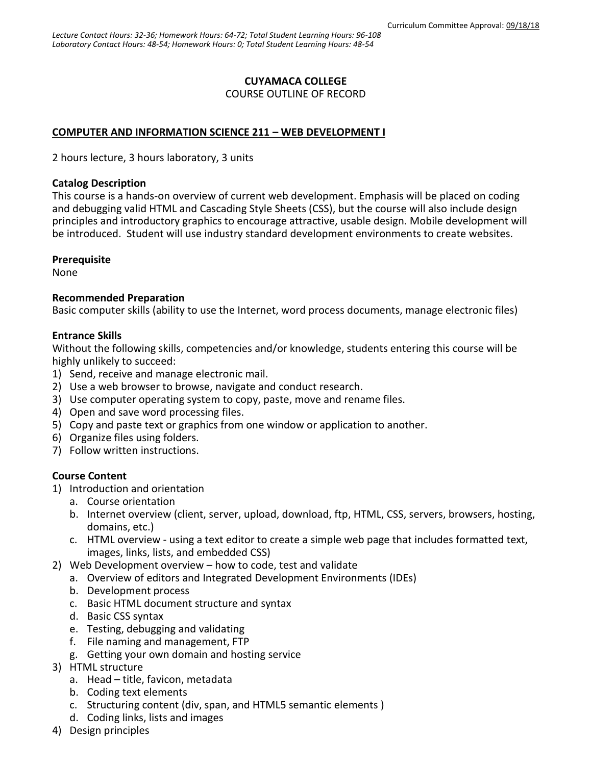## **CUYAMACA COLLEGE**

COURSE OUTLINE OF RECORD

## **COMPUTER AND INFORMATION SCIENCE 211 – WEB DEVELOPMENT I**

2 hours lecture, 3 hours laboratory, 3 units

#### **Catalog Description**

This course is a hands-on overview of current web development. Emphasis will be placed on coding and debugging valid HTML and Cascading Style Sheets (CSS), but the course will also include design principles and introductory graphics to encourage attractive, usable design. Mobile development will be introduced. Student will use industry standard development environments to create websites.

### **Prerequisite**

None

### **Recommended Preparation**

Basic computer skills (ability to use the Internet, word process documents, manage electronic files)

#### **Entrance Skills**

Without the following skills, competencies and/or knowledge, students entering this course will be highly unlikely to succeed:

- 1) Send, receive and manage electronic mail.
- 2) Use a web browser to browse, navigate and conduct research.
- 3) Use computer operating system to copy, paste, move and rename files.
- 4) Open and save word processing files.
- 5) Copy and paste text or graphics from one window or application to another.
- 6) Organize files using folders.
- 7) Follow written instructions.

### **Course Content**

- 1) Introduction and orientation
	- a. Course orientation
	- b. Internet overview (client, server, upload, download, ftp, HTML, CSS, servers, browsers, hosting, domains, etc.)
	- c. HTML overview using a text editor to create a simple web page that includes formatted text, images, links, lists, and embedded CSS)
- 2) Web Development overview how to code, test and validate
	- a. Overview of editors and Integrated Development Environments (IDEs)
	- b. Development process
	- c. Basic HTML document structure and syntax
	- d. Basic CSS syntax
	- e. Testing, debugging and validating
	- f. File naming and management, FTP
	- g. Getting your own domain and hosting service
- 3) HTML structure
	- a. Head title, favicon, metadata
	- b. Coding text elements
	- c. Structuring content (div, span, and HTML5 semantic elements )
	- d. Coding links, lists and images
- 4) Design principles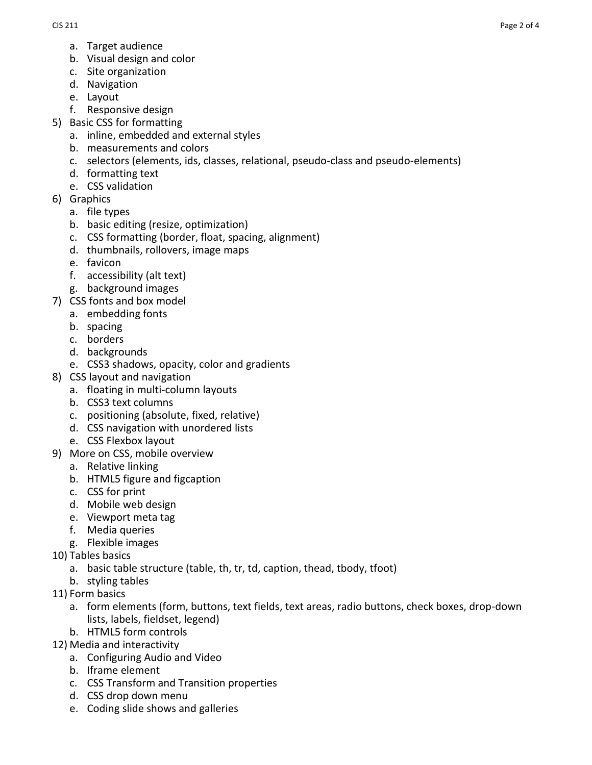- a. Target audience
- b. Visual design and color
- c. Site organization
- d. Navigation
- e. Layout
- f. Responsive design
- 5) Basic CSS for formatting
	- a. inline, embedded and external styles
	- b. measurements and colors
	- c. selectors (elements, ids, classes, relational, pseudo-class and pseudo-elements)
	- d. formatting text
	- e. CSS validation
- 6) Graphics
	- a. file types
	- b. basic editing (resize, optimization)
	- c. CSS formatting (border, float, spacing, alignment)
	- d. thumbnails, rollovers, image maps
	- e. favicon
	- f. accessibility (alt text)
	- g. background images
- 7) CSS fonts and box model
	- a. embedding fonts
	- b. spacing
	- c. borders
	- d. backgrounds
	- e. CSS3 shadows, opacity, color and gradients
- 8) CSS layout and navigation
	- a. floating in multi-column layouts
	- b. CSS3 text columns
	- c. positioning (absolute, fixed, relative)
	- d. CSS navigation with unordered lists
	- e. CSS Flexbox layout
- 9) More on CSS, mobile overview
	- a. Relative linking
	- b. HTML5 figure and figcaption
	- c. CSS for print
	- d. Mobile web design
	- e. Viewport meta tag
	- f. Media queries
	- g. Flexible images
- 10) Tables basics
	- a. basic table structure (table, th, tr, td, caption, thead, tbody, tfoot)
	- b. styling tables
- 11) Form basics
	- a. form elements (form, buttons, text fields, text areas, radio buttons, check boxes, drop-down lists, labels, fieldset, legend)
	- b. HTML5 form controls
- 12) Media and interactivity
	- a. Configuring Audio and Video
	- b. Iframe element
	- c. CSS Transform and Transition properties
	- d. CSS drop down menu
	- e. Coding slide shows and galleries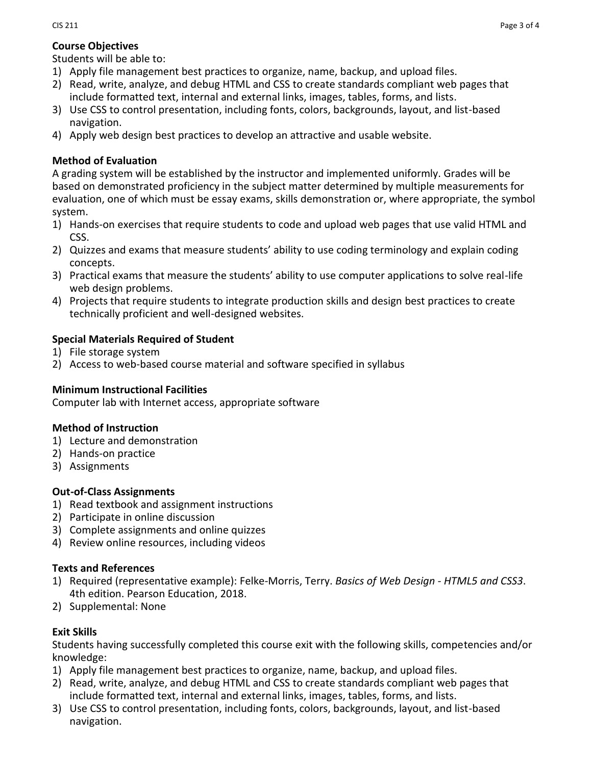## **Course Objectives**

Students will be able to:

- 1) Apply file management best practices to organize, name, backup, and upload files.
- 2) Read, write, analyze, and debug HTML and CSS to create standards compliant web pages that include formatted text, internal and external links, images, tables, forms, and lists.
- 3) Use CSS to control presentation, including fonts, colors, backgrounds, layout, and list-based navigation.
- 4) Apply web design best practices to develop an attractive and usable website.

## **Method of Evaluation**

A grading system will be established by the instructor and implemented uniformly. Grades will be based on demonstrated proficiency in the subject matter determined by multiple measurements for evaluation, one of which must be essay exams, skills demonstration or, where appropriate, the symbol system.

- 1) Hands-on exercises that require students to code and upload web pages that use valid HTML and CSS.
- 2) Quizzes and exams that measure students' ability to use coding terminology and explain coding concepts.
- 3) Practical exams that measure the students' ability to use computer applications to solve real-life web design problems.
- 4) Projects that require students to integrate production skills and design best practices to create technically proficient and well-designed websites.

# **Special Materials Required of Student**

- 1) File storage system
- 2) Access to web-based course material and software specified in syllabus

### **Minimum Instructional Facilities**

Computer lab with Internet access, appropriate software

# **Method of Instruction**

- 1) Lecture and demonstration
- 2) Hands-on practice
- 3) Assignments

# **Out-of-Class Assignments**

- 1) Read textbook and assignment instructions
- 2) Participate in online discussion
- 3) Complete assignments and online quizzes
- 4) Review online resources, including videos

# **Texts and References**

- 1) Required (representative example): Felke-Morris, Terry. *Basics of Web Design - HTML5 and CSS3*. 4th edition. Pearson Education, 2018.
- 2) Supplemental: None

# **Exit Skills**

Students having successfully completed this course exit with the following skills, competencies and/or knowledge:

- 1) Apply file management best practices to organize, name, backup, and upload files.
- 2) Read, write, analyze, and debug HTML and CSS to create standards compliant web pages that include formatted text, internal and external links, images, tables, forms, and lists.
- 3) Use CSS to control presentation, including fonts, colors, backgrounds, layout, and list-based navigation.